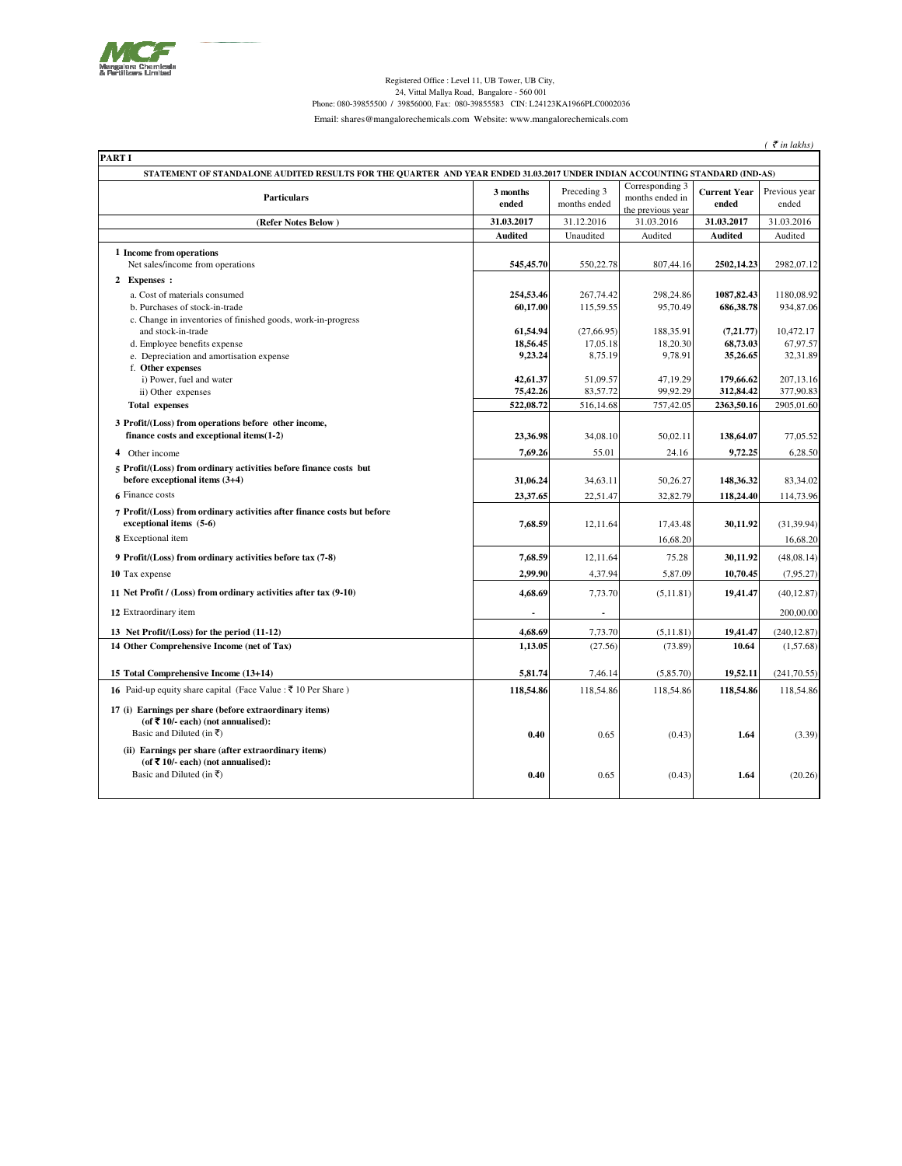

## Registered Office : Level 11, UB Tower, UB City,<br>24, Vittal Mallya Road, Bangalore - 560 001<br>2001-Phone: 080-39855500 / 39856000, Fax: 080-39855583 CIN: L24123KA1966PLC0002036 Email: shares@mangalorechemicals.com Website: www.mangalorechemicals.com

 $($   $\bar{\tau}$  *in lakhs*)

| PART I                                                                                                                      |                |              |                                    |                     |               |
|-----------------------------------------------------------------------------------------------------------------------------|----------------|--------------|------------------------------------|---------------------|---------------|
| STATEMENT OF STANDALONE AUDITED RESULTS FOR THE QUARTER AND YEAR ENDED 31.03.2017 UNDER INDIAN ACCOUNTING STANDARD (IND-AS) |                |              |                                    |                     |               |
| <b>Particulars</b>                                                                                                          | 3 months       | Preceding 3  | Corresponding 3<br>months ended in | <b>Current Year</b> | Previous year |
|                                                                                                                             | ended          | months ended | the previous year                  | ended               | ended         |
| (Refer Notes Below)                                                                                                         | 31.03.2017     | 31.12.2016   | 31.03.2016                         | 31.03.2017          | 31.03.2016    |
|                                                                                                                             | <b>Audited</b> | Unaudited    | Audited                            | <b>Audited</b>      | Audited       |
| 1 Income from operations                                                                                                    |                |              |                                    |                     |               |
| Net sales/income from operations                                                                                            | 545,45.70      | 550,22.78    | 807,44.16                          | 2502,14.23          | 2982,07.12    |
| 2 Expenses :                                                                                                                |                |              |                                    |                     |               |
| a. Cost of materials consumed                                                                                               | 254,53.46      | 267,74.42    | 298,24.86                          | 1087, 82.43         | 1180,08.92    |
| b. Purchases of stock-in-trade                                                                                              | 60,17.00       | 115,59.55    | 95,70.49                           | 686,38.78           | 934,87.06     |
| c. Change in inventories of finished goods, work-in-progress<br>and stock-in-trade                                          | 61,54.94       | (27,66.95)   | 188,35.91                          | (7, 21.77)          | 10,472.17     |
| d. Employee benefits expense                                                                                                | 18,56.45       | 17,05.18     | 18,20.30                           | 68,73.03            | 67,97.57      |
| e. Depreciation and amortisation expense                                                                                    | 9,23.24        | 8,75.19      | 9,78.91                            | 35,26.65            | 32,31.89      |
| f. Other expenses                                                                                                           |                |              |                                    |                     |               |
| i) Power, fuel and water                                                                                                    | 42,61.37       | 51,09.57     | 47,19.29                           | 179,66.62           | 207,13.16     |
| ii) Other expenses                                                                                                          | 75,42.26       | 83,57.72     | 99,92.29                           | 312,84.42           | 377,90.83     |
| <b>Total expenses</b>                                                                                                       | 522,08.72      | 516,14.68    | 757,42.05                          | 2363,50.16          | 2905,01.60    |
| 3 Profit/(Loss) from operations before other income,                                                                        |                |              |                                    |                     |               |
| finance costs and exceptional items(1-2)                                                                                    | 23,36.98       | 34,08.10     | 50,02.11                           | 138,64.07           | 77,05.52      |
| 4 Other income                                                                                                              | 7,69.26        | 55.01        | 24.16                              | 9,72.25             | 6,28.50       |
| 5 Profit/(Loss) from ordinary activities before finance costs but                                                           |                |              |                                    |                     |               |
| before exceptional items (3+4)                                                                                              | 31,06.24       | 34,63.11     | 50,26.27                           | 148,36.32           | 83,34.02      |
| 6 Finance costs                                                                                                             | 23,37.65       | 22,51.47     | 32,82.79                           | 118,24.40           | 114,73.96     |
| 7 Profit/(Loss) from ordinary activities after finance costs but before                                                     |                |              |                                    |                     |               |
| exceptional items (5-6)                                                                                                     | 7,68.59        | 12,11.64     | 17,43.48                           | 30,11.92            | (31, 39.94)   |
| 8 Exceptional item                                                                                                          |                |              | 16,68.20                           |                     | 16,68.20      |
| 9 Profit/(Loss) from ordinary activities before tax (7-8)                                                                   | 7,68.59        | 12,11.64     | 75.28                              | 30,11.92            | (48,08.14)    |
| 10 Tax expense                                                                                                              | 2,99.90        | 4,37.94      | 5,87.09                            | 10,70.45            | (7,95.27)     |
| 11 Net Profit / (Loss) from ordinary activities after tax (9-10)                                                            | 4,68.69        | 7,73.70      | (5,11.81)                          | 19,41.47            | (40, 12.87)   |
| 12 Extraordinary item                                                                                                       |                |              |                                    |                     | 200,00.00     |
| 13 Net Profit/(Loss) for the period (11-12)                                                                                 | 4,68.69        | 7,73.70      | (5, 11.81)                         | 19,41.47            | (240, 12.87)  |
| 14 Other Comprehensive Income (net of Tax)                                                                                  | 1,13.05        | (27.56)      | (73.89)                            | 10.64               | (1,57.68)     |
| 15 Total Comprehensive Income (13+14)                                                                                       | 5,81.74        | 7,46.14      | (5, 85.70)                         | 19,52.11            | (241, 70.55)  |
| 16 Paid-up equity share capital (Face Value : ₹ 10 Per Share)                                                               | 118,54.86      | 118,54.86    | 118,54.86                          | 118,54.86           | 118,54.86     |
| 17 (i) Earnings per share (before extraordinary items)                                                                      |                |              |                                    |                     |               |
| (of $\overline{\mathbf{z}}$ 10/- each) (not annualised):                                                                    |                |              |                                    |                     |               |
| Basic and Diluted (in ₹)                                                                                                    | 0.40           | 0.65         | (0.43)                             | 1.64                | (3.39)        |
| (ii) Earnings per share (after extraordinary items)                                                                         |                |              |                                    |                     |               |
| (of $\overline{\mathbf{z}}$ 10/- each) (not annualised):                                                                    |                |              |                                    |                     |               |
| Basic and Diluted (in ₹)                                                                                                    | 0.40           | 0.65         | (0.43)                             | 1.64                | (20.26)       |
|                                                                                                                             |                |              |                                    |                     |               |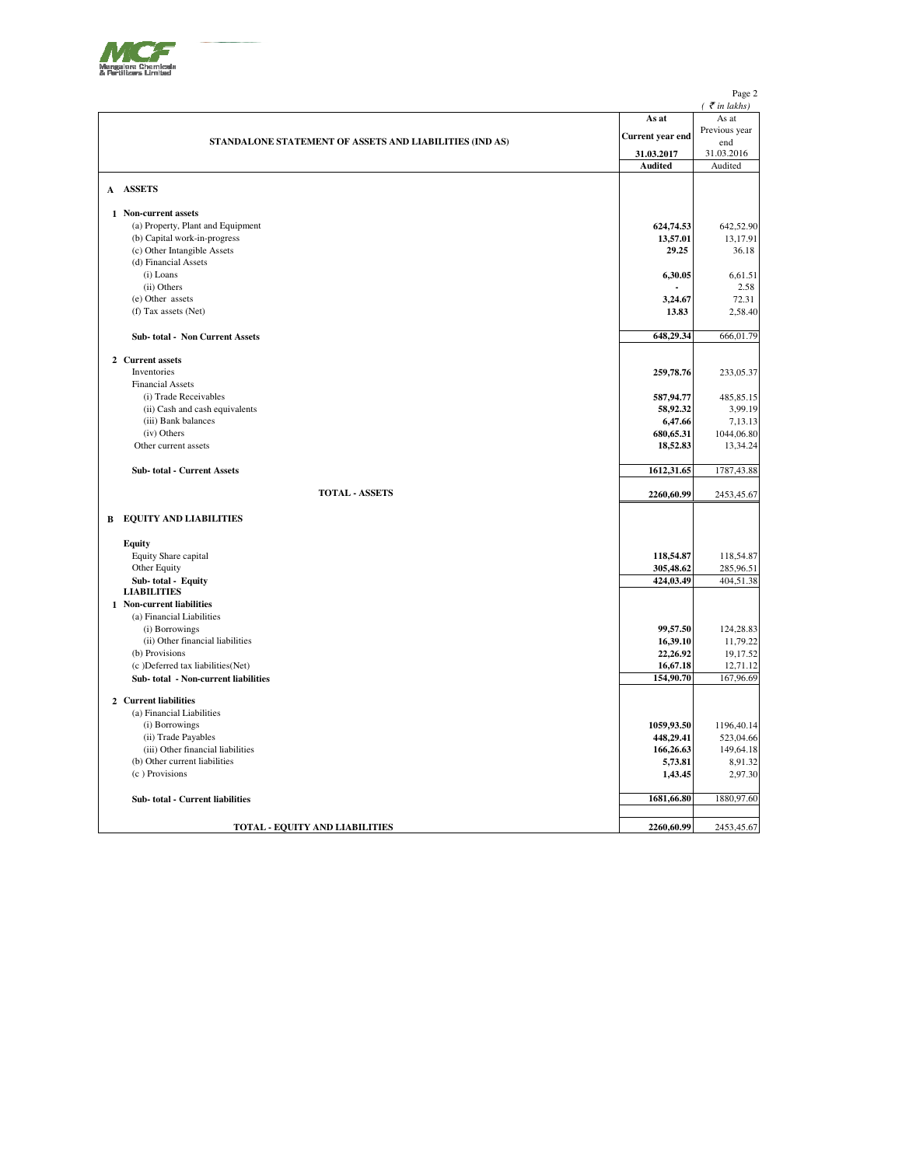

Page 2  $($   $\bar{\mathcal{F}}$  *in lakhs*) **As at** As at **Current year end** Previous year end **31.03.2017** 31.03.2016 **Audited** Audited **A ASSETS 1 Non-current assets** (a) Property, Plant and Equipment **624,74.53** 642,52.90<br>
(b) Capital work-in-progress **624,74.53** 642,52.90 (b) Capital work-in-progress **13,57.01** 13,17.91 13,17.91 13,17.91 13,57.01 13,57.01 13,17.91 13,17.91 13,17.91 (c) Other Intangible Assets (d) Financial Assets (i) Loans **6,30.05** 6,61.51 (ii) Others **-** 2.58 (e) Other assets **3,24.67** 72.31 (f) Tax assets (Net) **13.83** 2,58.40 **Sub- total - Non Current Assets 648,29.34** 666,01.79 **2 Current assets Inventories 259,78.76** 233,05.37 Financial Assets (i) Trade Receivables **587,94.77** 485,85.15<br>
(ii) Cash and cash equivalents **58.92.32** 485,85.15 (ii) Cash and cash equivalents **58,92.32**<br> **58,92.32** 32<br> **58,92.32** 32<br> **58,92.32** (iii) Bank balances **6,47.66** 7,13.13<br>
(iv) Others **680,65.31** 1044,06.80 (iv) Others **680,65.31** 1044,06.80 Other current assets **18,52.83** 13,34.24 **Sub- total - Current Assets 1612,31.65** 1787,43.88 **TOTAL - ASSETS 2260,60.99** 2453,45.67 **B EQUITY AND LIABILITIES Equity** Equity Share capital **118,54.87** 118,54.87 118,54.87 118,54.87 118,54.87 118,54.87 118,54.87 118,54.87 118,54.87 118,54.87 118,54.87 118,54.87 118,54.87 118,54.87 118,54.87 118,54.87 118,54.87 118,54.87 118,54.87 118,54.87 **Other Equity 305,48.62** 285,96.51 **Sub- total - Equity 404,51.38 424,03.49 404,51.38 LIABILITIES 1 Non-current liabilities** (a) Financial Liabilities (i) Borrowings **99,57.50** 124,28.83 (i) Other financial liabilities **16,39.10** 11,79.22<br>
(b) Provisions **16,39.10** 11,79.22 (b) Provisions **22,26.92** 19,17.52 (c) Deferred tax liabilities(Net) **16,67.18** 12,71.12<br> **16,67.18** 12,71.12<br> **167.96.69** 167.96.69 **Sub- total - Non-current liabilities 154,90.70** 167,96.69 **2 Current liabilities** (a) Financial Liabilities<br>(i) Borrowings (i) Borrowings **1059,93.50** 1196,40.14 (ii) Trade Payables **448,29.41** 523,04.66<br>
(iii) Other financial liabilities **166,26.63** 149,64.18 (iii) Other financial liabilities **166,26.63** 149,64.18<br>
19.00 Other current liabilities **166,26.63** 149,64.18 (b) Other current liabilities **5,73.81** 8,91.32<br>
(c) Provisions **1,43.45** 2,97.30 (c ) Provisions **1,43.45** 2,97.30 **Sub- total - Current liabilities 1681,66.80** 1880,97.60 **TOTAL - EQUITY AND LIABILITIES 2260,60.99** 2453,45.67 **STANDALONE STATEMENT OF ASSETS AND LIABILITIES (IND AS)**